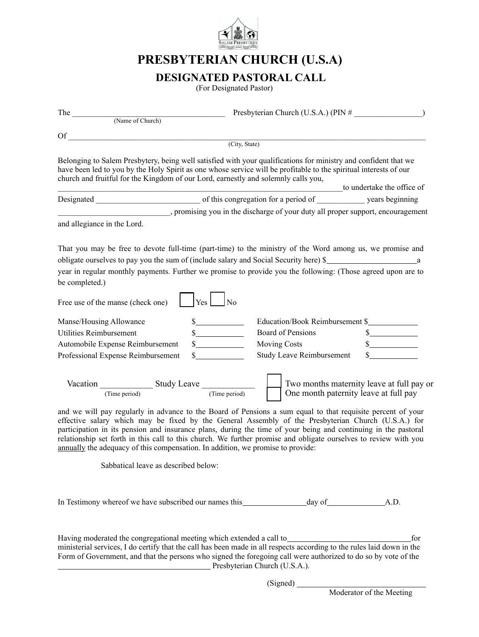

# **PRESBYTERIAN CHURCH (U.S.A)**

## **DESIGNATED PASTORAL CALL**

(For Designated Pastor)

| (Name of Church)                                                                                                                                                                                                                                                                                                                                                                                                                                                                                                                                                                                                                                                                                              |                                                                                                                                                                                                                                                                                                                    |                            |
|---------------------------------------------------------------------------------------------------------------------------------------------------------------------------------------------------------------------------------------------------------------------------------------------------------------------------------------------------------------------------------------------------------------------------------------------------------------------------------------------------------------------------------------------------------------------------------------------------------------------------------------------------------------------------------------------------------------|--------------------------------------------------------------------------------------------------------------------------------------------------------------------------------------------------------------------------------------------------------------------------------------------------------------------|----------------------------|
|                                                                                                                                                                                                                                                                                                                                                                                                                                                                                                                                                                                                                                                                                                               |                                                                                                                                                                                                                                                                                                                    |                            |
| Of a<br><u> 1989 - Johann John Stein, mars an deus Amerikaansk kommunister (</u>                                                                                                                                                                                                                                                                                                                                                                                                                                                                                                                                                                                                                              | (City, State)                                                                                                                                                                                                                                                                                                      |                            |
|                                                                                                                                                                                                                                                                                                                                                                                                                                                                                                                                                                                                                                                                                                               |                                                                                                                                                                                                                                                                                                                    |                            |
| church and fruitful for the Kingdom of our Lord, earnestly and solemnly calls you,                                                                                                                                                                                                                                                                                                                                                                                                                                                                                                                                                                                                                            | Belonging to Salem Presbytery, being well satisfied with your qualifications for ministry and confident that we<br>have been led to you by the Holy Spirit as one whose service will be profitable to the spiritual interests of our                                                                               | to undertake the office of |
|                                                                                                                                                                                                                                                                                                                                                                                                                                                                                                                                                                                                                                                                                                               |                                                                                                                                                                                                                                                                                                                    |                            |
|                                                                                                                                                                                                                                                                                                                                                                                                                                                                                                                                                                                                                                                                                                               | . promising you in the discharge of your duty all proper support, encouragement                                                                                                                                                                                                                                    |                            |
| and allegiance in the Lord.                                                                                                                                                                                                                                                                                                                                                                                                                                                                                                                                                                                                                                                                                   |                                                                                                                                                                                                                                                                                                                    |                            |
| be completed.)                                                                                                                                                                                                                                                                                                                                                                                                                                                                                                                                                                                                                                                                                                | That you may be free to devote full-time (part-time) to the ministry of the Word among us, we promise and<br>obligate ourselves to pay you the sum of (include salary and Social Security here) \$<br>year in regular monthly payments. Further we promise to provide you the following: (Those agreed upon are to |                            |
| Free use of the manse (check one)                                                                                                                                                                                                                                                                                                                                                                                                                                                                                                                                                                                                                                                                             | $ Y_{\text{es}} $ $ N_0 $                                                                                                                                                                                                                                                                                          |                            |
| Manse/Housing Allowance                                                                                                                                                                                                                                                                                                                                                                                                                                                                                                                                                                                                                                                                                       | Education/Book Reimbursement \$                                                                                                                                                                                                                                                                                    |                            |
| Utilities Reimbursement                                                                                                                                                                                                                                                                                                                                                                                                                                                                                                                                                                                                                                                                                       | Board of Pensions<br>s                                                                                                                                                                                                                                                                                             | $\frac{\sim}{\sim}$        |
| Automobile Expense Reimbursement                                                                                                                                                                                                                                                                                                                                                                                                                                                                                                                                                                                                                                                                              | <b>Moving Costs</b>                                                                                                                                                                                                                                                                                                | s                          |
| Professional Expense Reimbursement                                                                                                                                                                                                                                                                                                                                                                                                                                                                                                                                                                                                                                                                            | <b>Study Leave Reimbursement</b><br>s                                                                                                                                                                                                                                                                              |                            |
| Vacation $\frac{1}{(Time period)}$ Study Leave $\frac{1}{(Time period)}$<br>Two months maternity leave at full pay or<br>One month paternity leave at full pay<br>and we will pay regularly in advance to the Board of Pensions a sum equal to that requisite percent of your<br>effective salary which may be fixed by the General Assembly of the Presbyterian Church (U.S.A.) for<br>participation in its pension and insurance plans, during the time of your being and continuing in the pastoral<br>relationship set forth in this call to this church. We further promise and obligate ourselves to review with you<br>annually the adequacy of this compensation. In addition, we promise to provide: |                                                                                                                                                                                                                                                                                                                    |                            |
| Sabbatical leave as described below:                                                                                                                                                                                                                                                                                                                                                                                                                                                                                                                                                                                                                                                                          |                                                                                                                                                                                                                                                                                                                    |                            |
|                                                                                                                                                                                                                                                                                                                                                                                                                                                                                                                                                                                                                                                                                                               |                                                                                                                                                                                                                                                                                                                    |                            |
|                                                                                                                                                                                                                                                                                                                                                                                                                                                                                                                                                                                                                                                                                                               | ministerial services, I do certify that the call has been made in all respects according to the rules laid down in the<br>Form of Government, and that the persons who signed the foregoing call were authorized to do so by vote of the<br>Presbyterian Church (U.S.A.).                                          | for                        |

(Signed)

Moderator of the Meeting